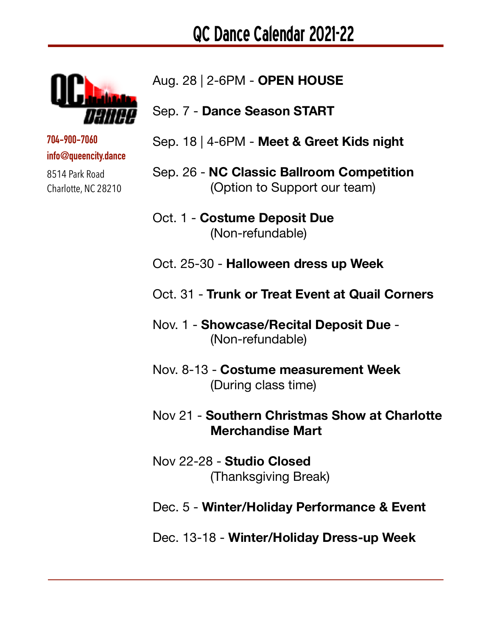

**704-900-7060 info@queencity.dance**

8514 Park Road Charlotte, NC 28210

- Aug. 28 | 2-6PM **OPEN HOUSE**
- Sep. 7 **Dance Season START**
- Sep. 18 | 4-6PM **Meet & Greet Kids night**
- Sep. 26 **NC Classic Ballroom Competition**  (Option to Support our team)
- Oct. 1 **Costume Deposit Due**  (Non-refundable)
- Oct. 25-30 **Halloween dress up Week**
- Oct. 31 **Trunk or Treat Event at Quail Corners**
- Nov. 1 **Showcase/Recital Deposit Due** (Non-refundable)
- Nov. 8-13 **Costume measurement Week**  (During class time)
- Nov 21 **Southern Christmas Show at Charlotte Merchandise Mart**
- Nov 22-28 **Studio Closed**  (Thanksgiving Break)
- Dec. 5 **Winter/Holiday Performance & Event**
- Dec. 13-18 **Winter/Holiday Dress-up Week**